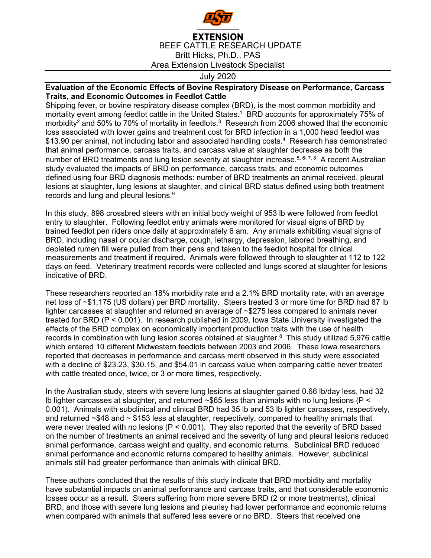

## **EXTENSION** BEEF CATTLE RESEARCH UPDATE Britt Hicks, Ph.D., PAS Area Extension Livestock Specialist

## July 2020

## **Evaluation of the Economic Effects of Bovine Respiratory Disease on Performance, Carcass Traits, and Economic Outcomes in Feedlot Cattle**

Shipping fever, or bovine respiratory disease complex (BRD), is the most common morbidity and mortality event among feedlot cattle in the United States.1 BRD accounts for approximately 75% of morbidity<sup>2</sup> and 50% to 70% of mortality in feedlots.<sup>3</sup> Research from 2006 showed that the economic loss associated with lower gains and treatment cost for BRD infection in a 1,000 head feedlot was \$13.90 per animal, not including labor and associated handling costs.<sup>4</sup> Research has demonstrated that animal performance, carcass traits, and carcass value at slaughter decrease as both the number of BRD treatments and lung lesion severity at slaughter increase.<sup>5, 6, 7, 8</sup> A recent Australian study evaluated the impacts of BRD on performance, carcass traits, and economic outcomes defined using four BRD diagnosis methods: number of BRD treatments an animal received, pleural lesions at slaughter, lung lesions at slaughter, and clinical BRD status defined using both treatment records and lung and pleural lesions.9

In this study, 898 crossbred steers with an initial body weight of 953 lb were followed from feedlot entry to slaughter. Following feedlot entry animals were monitored for visual signs of BRD by trained feedlot pen riders once daily at approximately 6 am. Any animals exhibiting visual signs of BRD, including nasal or ocular discharge, cough, lethargy, depression, labored breathing, and depleted rumen fill were pulled from their pens and taken to the feedlot hospital for clinical measurements and treatment if required. Animals were followed through to slaughter at 112 to 122 days on feed. Veterinary treatment records were collected and lungs scored at slaughter for lesions indicative of BRD.

These researchers reported an 18% morbidity rate and a 2.1% BRD mortality rate, with an average net loss of ~\$1,175 (US dollars) per BRD mortality. Steers treated 3 or more time for BRD had 87 lb lighter carcasses at slaughter and returned an average of ~\$275 less compared to animals never treated for BRD (P < 0.001). In research published in 2009, Iowa State University investigated the effects of the BRD complex on economically important production traits with the use of health records in combination with lung lesion scores obtained at slaughter.<sup>8</sup> This study utilized 5,976 cattle which entered 10 different Midwestern feedlots between 2003 and 2006. These Iowa researchers reported that decreases in performance and carcass merit observed in this study were associated with a decline of \$23.23, \$30.15, and \$54.01 in carcass value when comparing cattle never treated with cattle treated once, twice, or 3 or more times, respectively.

In the Australian study, steers with severe lung lesions at slaughter gained 0.66 lb/day less, had 32 lb lighter carcasses at slaughter, and returned ~\$65 less than animals with no lung lesions (P < 0.001). Animals with subclinical and clinical BRD had 35 lb and 53 lb lighter carcasses, respectively, and returned  $\sim$ \$48 and  $\sim$  \$153 less at slaughter, respectively, compared to healthy animals that were never treated with no lesions ( $P < 0.001$ ). They also reported that the severity of BRD based on the number of treatments an animal received and the severity of lung and pleural lesions reduced animal performance, carcass weight and quality, and economic returns. Subclinical BRD reduced animal performance and economic returns compared to healthy animals. However, subclinical animals still had greater performance than animals with clinical BRD.

These authors concluded that the results of this study indicate that BRD morbidity and mortality have substantial impacts on animal performance and carcass traits, and that considerable economic losses occur as a result. Steers suffering from more severe BRD (2 or more treatments), clinical BRD, and those with severe lung lesions and pleurisy had lower performance and economic returns when compared with animals that suffered less severe or no BRD. Steers that received one